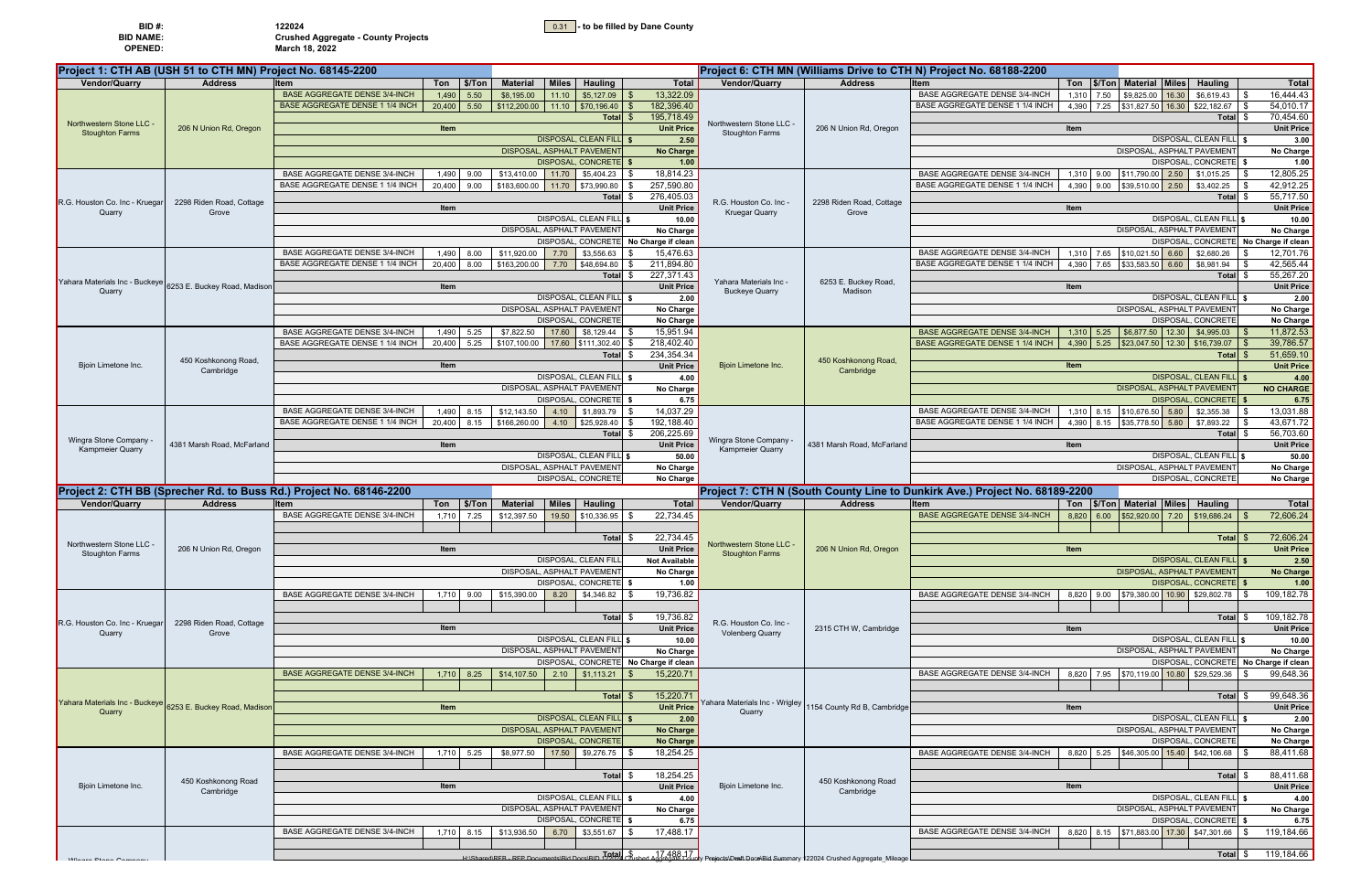|  |  | 0.31 - to be filled by Dane County |
|--|--|------------------------------------|
|--|--|------------------------------------|

| BID#:          | 122024                                     |
|----------------|--------------------------------------------|
| BID NAME:      | <b>Crushed Aggregate - County Projects</b> |
| <b>OPENED:</b> | March 18, 2022                             |

| BID #:           |  |
|------------------|--|
| <b>BID NAME:</b> |  |
| <b>OPENED:</b>   |  |

|                                                  | Project 1: CTH AB (USH 51 to CTH MN) Project No. 68145-2200 |                                                                     |                                                  |                              |                                      |                                       |                                                  |                                                            | Project 6: CTH MN (Williams Drive to CTH N) Project No. 68188-2200          |                                                              |                           |                                                    |
|--------------------------------------------------|-------------------------------------------------------------|---------------------------------------------------------------------|--------------------------------------------------|------------------------------|--------------------------------------|---------------------------------------|--------------------------------------------------|------------------------------------------------------------|-----------------------------------------------------------------------------|--------------------------------------------------------------|---------------------------|----------------------------------------------------|
| <b>Vendor/Quarry</b>                             | <b>Address</b>                                              | Ton   \$/Ton<br><b>Item</b>                                         | <b>Material</b>                                  | <b>Miles</b>                 | <b>Hauling</b>                       | <b>Total</b>                          | Vendor/Quarry                                    | <b>Address</b>                                             | Item                                                                        | Ton   \$/Ton   Material   Miles                              | <b>Hauling</b>            | <b>Total</b>                                       |
|                                                  |                                                             | <b>BASE AGGREGATE DENSE 3/4-INCH</b><br>5.50<br>1,490               | \$8,195.00                                       | 11.10                        | \$5,127.09                           | 13,322.09                             |                                                  |                                                            | <b>BASE AGGREGATE DENSE 3/4-INCH</b>                                        | \$9,825.00 16.30<br>1,310 7.50                               | \$6,619.43                | 16,444.43                                          |
|                                                  |                                                             | <b>BASE AGGREGATE DENSE 1 1/4 INCH</b><br>20,400<br>5.50            | $$112,200.00$ 11.10 $$70,196.40$                 |                              |                                      | 182,396.40                            |                                                  |                                                            | BASE AGGREGATE DENSE 1 1/4 INCH                                             | \$31,827.50 16.30 \$22,182.67<br>4,390<br>7.25               |                           | 54,010.17                                          |
|                                                  |                                                             |                                                                     |                                                  |                              | Total                                | 195,718.49                            |                                                  |                                                            |                                                                             |                                                              | Total \$                  | 70,454.60                                          |
| Northwestern Stone LLC<br><b>Stoughton Farms</b> | 206 N Union Rd, Oregon                                      | Item                                                                |                                                  |                              |                                      | <b>Unit Price</b>                     | Northwestern Stone LLC<br><b>Stoughton Farms</b> | 206 N Union Rd, Oregon                                     |                                                                             | Item                                                         |                           | <b>Unit Price</b>                                  |
|                                                  |                                                             |                                                                     |                                                  | <b>DISPOSAL, CLEAN FILL</b>  |                                      | 2.50                                  |                                                  |                                                            |                                                                             |                                                              | DISPOSAL, CLEAN FILL      | 3.00                                               |
|                                                  |                                                             |                                                                     |                                                  | DISPOSAL, ASPHALT PAVEMENT   |                                      | No Charge                             |                                                  |                                                            |                                                                             | DISPOSAL, ASPHALT PAVEMENT                                   |                           | No Charge                                          |
|                                                  |                                                             |                                                                     |                                                  | DISPOSAL, CONCRETE           |                                      | 1.00                                  |                                                  |                                                            |                                                                             |                                                              | DISPOSAL, CONCRETE \$     | 1.00                                               |
|                                                  |                                                             | <b>BASE AGGREGATE DENSE 3/4-INCH</b><br>1,490<br>9.00               |                                                  | \$13,410.00 11.70 \$5,404.23 |                                      | 18,814.23                             |                                                  |                                                            | <b>BASE AGGREGATE DENSE 3/4-INCH</b>                                        | 1,310 9.00 \$11,790.00 2.50 \$1,015.25                       |                           | 12,805.25                                          |
|                                                  |                                                             | BASE AGGREGATE DENSE 1 1/4 INCH<br>20,400 9.00                      | \$183,600.00 11.70 \$73,990.80                   |                              |                                      | 257,590.80                            |                                                  |                                                            | BASE AGGREGATE DENSE 1 1/4 INCH                                             | 4,390 9.00 \$39,510.00 2.50                                  | \$3,402.25                | 42,912.25                                          |
| R.G. Houston Co. Inc - Kruega                    | 2298 Riden Road, Cottage                                    | Item                                                                |                                                  |                              | <b>Total</b><br>\$                   | 276,405.03<br><b>Unit Price</b>       | R.G. Houston Co. Inc -                           | 2298 Riden Road, Cottage                                   |                                                                             | Item                                                         | Total \$                  | 55,717.50<br><b>Unit Price</b>                     |
| Quarry                                           | Grove                                                       |                                                                     |                                                  | DISPOSAL, CLEAN FILL         |                                      | 10.00                                 | <b>Kruegar Quarry</b>                            | Grove                                                      |                                                                             |                                                              | DISPOSAL, CLEAN FILL S    | 10.00                                              |
|                                                  |                                                             |                                                                     |                                                  | DISPOSAL, ASPHALT PAVEMENT   |                                      | No Charge                             |                                                  |                                                            |                                                                             | DISPOSAL, ASPHALT PAVEMENT                                   |                           | No Charge                                          |
|                                                  |                                                             |                                                                     |                                                  | DISPOSAL, CONCRETE           |                                      | No Charge if clean                    |                                                  |                                                            |                                                                             |                                                              |                           | DISPOSAL, CONCRETE No Charge if clean              |
|                                                  |                                                             | <b>BASE AGGREGATE DENSE 3/4-INCH</b><br>1,490<br>8.00               | \$11,920.00                                      | 7.70                         | \$3,556.63                           | 15,476.63                             |                                                  |                                                            | <b>BASE AGGREGATE DENSE 3/4-INCH</b>                                        | 7.65 \$10,021.50 6.60<br>1,310                               | \$2,680.26                | 12,701.76                                          |
|                                                  |                                                             | BASE AGGREGATE DENSE 1 1/4 INCH<br>20,400 8.00                      | \$163,200.00 7.70                                |                              | \$48,694.80                          | 211,894.80                            |                                                  |                                                            | BASE AGGREGATE DENSE 1 1/4 INCH                                             | 4,390<br>7.65 \$33,583.50 6.60                               | \$8,981.94                | 42,565.44                                          |
|                                                  |                                                             |                                                                     |                                                  |                              | Total \$                             | 227,371.43                            |                                                  |                                                            |                                                                             |                                                              | Total \$                  | 55,267.20                                          |
| Yahara Materials Inc - Buckeye<br>Quarry         | 6253 E. Buckey Road, Madison                                | Item                                                                |                                                  |                              |                                      | <b>Unit Price</b>                     | Yahara Materials Inc -<br><b>Buckeye Quarry</b>  | 6253 E. Buckey Road,<br>Madison                            |                                                                             | Item                                                         |                           | <b>Unit Price</b>                                  |
|                                                  |                                                             |                                                                     |                                                  |                              | DISPOSAL, CLEAN FILL \$              | 2.00                                  |                                                  |                                                            |                                                                             |                                                              | DISPOSAL, CLEAN FILL \$   | 2.00                                               |
|                                                  |                                                             |                                                                     |                                                  | DISPOSAL, ASPHALT PAVEMENT   |                                      | No Charge                             |                                                  |                                                            |                                                                             | DISPOSAL, ASPHALT PAVEMENT                                   |                           | No Charge                                          |
|                                                  |                                                             |                                                                     |                                                  | DISPOSAL, CONCRETE           |                                      | No Charge                             |                                                  |                                                            |                                                                             |                                                              | DISPOSAL, CONCRETE        | No Charge                                          |
|                                                  |                                                             | <b>BASE AGGREGATE DENSE 3/4-INCH</b><br>1,490<br>5.25               | \$7,822.50                                       | 17.60                        | \$8,129.44                           | 15,951.94                             |                                                  |                                                            | <b>BASE AGGREGATE DENSE 3/4-INCI</b>                                        | \$6,877.50 12.30<br>$1,310$ 5.25                             | \$4,995.03                | 11,872.53                                          |
|                                                  |                                                             | BASE AGGREGATE DENSE 1 1/4 INCH<br>20,400<br>5.25                   |                                                  |                              | $$107,100.00$ 17.60 $$111,302.40$ \$ | 218,402.40                            |                                                  |                                                            | <b>BASE AGGREGATE DENSE 1 1/4 INCH</b>                                      | 4,390<br>5.25<br>$\frac{1}{2}$ \$23,047.50 12.30 \$16,739.07 |                           | 39,786.57                                          |
|                                                  | 450 Koshkonong Road,                                        |                                                                     |                                                  |                              | <b>Total</b><br>£.                   | 234,354.34<br><b>Unit Price</b>       |                                                  | 450 Koshkonong Road,                                       |                                                                             |                                                              | Total \$                  | 51,659.10<br><b>Unit Price</b>                     |
| Bjoin Limetone Inc.                              | Cambridge                                                   | Item                                                                |                                                  | DISPOSAL, CLEAN FILL         |                                      | 4.00                                  | Bjoin Limetone Inc.                              | Cambridge                                                  |                                                                             | Item                                                         | DISPOSAL, CLEAN FILL \$   | 4.00                                               |
|                                                  |                                                             |                                                                     |                                                  | DISPOSAL, ASPHALT PAVEMENT   |                                      | No Charge                             |                                                  |                                                            |                                                                             | <b>DISPOSAL, ASPHALT PAVEMENT</b>                            |                           | <b>NO CHARGE</b>                                   |
|                                                  |                                                             |                                                                     |                                                  |                              | <b>DISPOSAL, CONCRETE</b> \$         | 6.75                                  |                                                  |                                                            |                                                                             |                                                              | DISPOSAL, CONCRETE \$     | 6.75                                               |
|                                                  |                                                             | <b>BASE AGGREGATE DENSE 3/4-INCH</b><br>1,490<br>8.15               | \$12,143.50                                      | 4.10                         | \$1,893.79                           | 14,037.29                             |                                                  |                                                            | <b>BASE AGGREGATE DENSE 3/4-INCH</b>                                        | 1,310 8.15 \$10,676.50 5.80                                  | \$2,355.38                | 13,031.88                                          |
|                                                  |                                                             | BASE AGGREGATE DENSE 1 1/4 INCH<br>20,400<br>8.15                   | \$166,260.00                                     | 4.10                         | \$25,928.40                          | 192,188.40                            |                                                  |                                                            | BASE AGGREGATE DENSE 1 1/4 INCH                                             | 4,390<br>8.15 \$35,778.50 5.80                               | \$7,893.22                | 43,671.72                                          |
|                                                  |                                                             |                                                                     |                                                  |                              | <b>Total</b><br>£.                   | 206,225.69                            |                                                  |                                                            |                                                                             |                                                              | Total \$                  | 56,703.60                                          |
| Wingra Stone Company<br><b>Kampmeier Quarry</b>  | 4381 Marsh Road, McFarland                                  | Item                                                                |                                                  |                              |                                      | <b>Unit Price</b>                     | Wingra Stone Company<br><b>Kampmeier Quarry</b>  | 4381 Marsh Road, McFarland                                 |                                                                             | Item                                                         |                           | <b>Unit Price</b>                                  |
|                                                  |                                                             |                                                                     |                                                  | DISPOSAL, CLEAN FILL         |                                      | 50.00                                 |                                                  |                                                            |                                                                             |                                                              | DISPOSAL, CLEAN FILL \$   | 50.00                                              |
|                                                  |                                                             |                                                                     |                                                  | DISPOSAL, ASPHALT PAVEMENT   |                                      | No Charge                             |                                                  |                                                            |                                                                             | DISPOSAL, ASPHALT PAVEMENT                                   |                           | No Charge                                          |
|                                                  |                                                             |                                                                     |                                                  | DISPOSAL, CONCRETE           |                                      | No Charge                             |                                                  |                                                            |                                                                             |                                                              | DISPOSAL, CONCRETE        | No Charge                                          |
|                                                  |                                                             | Project 2: CTH BB (Sprecher Rd. to Buss Rd.) Project No. 68146-2200 |                                                  |                              |                                      |                                       |                                                  |                                                            | Project 7: CTH N (South County Line to Dunkirk Ave.) Project No. 68189-2200 |                                                              |                           |                                                    |
| <b>Vendor/Quarry</b>                             | <b>Address</b>                                              | Ton \$/Ton<br>Item                                                  | <b>Material</b>                                  | <b>Miles</b>                 | <b>Hauling</b>                       | Total                                 | Vendor/Quarry                                    | <b>Address</b>                                             | <b>Item</b>                                                                 | Ton   \$/Ton   Material   Miles                              | <b>Hauling</b>            | Total                                              |
|                                                  |                                                             | <b>BASE AGGREGATE DENSE 3/4-INCH</b><br>1,710 7.25                  | \$12,397.50                                      | 19.50                        | \$10,336.95                          | 22,734.45                             |                                                  |                                                            | <b>BASE AGGREGATE DENSE 3/4-INCH</b>                                        | \$52,920.00 7.20<br>8,820<br>6.00                            | \$19,686.24               | 72,606.24                                          |
|                                                  |                                                             |                                                                     |                                                  |                              | Total \$                             | 22,734.45                             |                                                  |                                                            |                                                                             |                                                              | Total \$                  | 72,606.24                                          |
| Northwestern Stone LLC                           | 206 N Union Rd, Oregon                                      | Item                                                                |                                                  |                              |                                      | <b>Unit Price</b>                     | Northwestern Stone LLC                           | 206 N Union Rd, Oregon                                     |                                                                             | <b>Item</b>                                                  |                           | <b>Unit Price</b>                                  |
| <b>Stoughton Farms</b>                           |                                                             |                                                                     |                                                  | DISPOSAL, CLEAN FILL         |                                      | <b>Not Available</b>                  | <b>Stoughton Farms</b>                           |                                                            |                                                                             |                                                              | DISPOSAL, CLEAN FILL   \$ | 2.50                                               |
|                                                  |                                                             |                                                                     |                                                  | DISPOSAL, ASPHALT PAVEMENT   |                                      | No Charge                             |                                                  |                                                            |                                                                             | DISPOSAL, ASPHALT PAVEMENT                                   |                           | No Charge                                          |
|                                                  |                                                             |                                                                     |                                                  | DISPOSAL, CONCRETE           |                                      | 1.00                                  |                                                  |                                                            |                                                                             |                                                              | DISPOSAL, CONCRETE        | 1.00                                               |
|                                                  |                                                             | <b>BASE AGGREGATE DENSE 3/4-INCH</b><br>1,710 9.00                  | \$15,390.00                                      | 8.20                         | \$4,346.82                           | 19,736.82                             |                                                  |                                                            | <b>BASE AGGREGATE DENSE 3/4-INCH</b>                                        | 9.00 \$79,380.00 10.90 \$29,802.78<br>8,820                  |                           | 109,182.78                                         |
|                                                  |                                                             |                                                                     |                                                  |                              |                                      |                                       |                                                  |                                                            |                                                                             |                                                              |                           |                                                    |
| R.G. Houston Co. Inc - Kruegar                   | 2298 Riden Road, Cottage                                    |                                                                     |                                                  |                              | Total \$                             | 19,736.82                             | R.G. Houston Co. Inc -                           |                                                            |                                                                             |                                                              | Total \$                  | 109,182.78                                         |
| Quarry                                           | Grove                                                       | Item                                                                |                                                  |                              |                                      | <b>Unit Price</b>                     | <b>Volenberg Quarry</b>                          | 2315 CTH W, Cambridge                                      |                                                                             | Item                                                         |                           | <b>Unit Price</b>                                  |
|                                                  |                                                             |                                                                     |                                                  | DISPOSAL, CLEAN FILL         |                                      | 10.00                                 |                                                  |                                                            |                                                                             |                                                              | DISPOSAL, CLEAN FILL \$   | 10.00                                              |
|                                                  |                                                             |                                                                     |                                                  | DISPOSAL, ASPHALT PAVEMENT   |                                      | No Charge                             |                                                  |                                                            |                                                                             | DISPOSAL, ASPHALT PAVEMENT                                   |                           | No Charge                                          |
|                                                  |                                                             | <b>BASE AGGREGATE DENSE 3/4-INCH</b>                                |                                                  |                              |                                      | DISPOSAL, CONCRETE No Charge if clean |                                                  |                                                            | BASE AGGREGATE DENSE 3/4-INCH                                               | 8,820 7.95 \$70,119.00 10.80 \$29,529.36                     |                           | DISPOSAL, CONCRETE No Charge if clean<br>99,648.36 |
|                                                  |                                                             | $1,710$ 8.25                                                        | $$14,107.50$ 2.10                                |                              | \$1,113.21                           | 15,220.71                             |                                                  |                                                            |                                                                             |                                                              |                           |                                                    |
|                                                  |                                                             |                                                                     |                                                  |                              | Total \$                             | 15,220.71                             |                                                  |                                                            |                                                                             |                                                              | Total \$                  | 99,648.36                                          |
| Yahara Materials Inc - Buckeye                   | 6253 E. Buckey Road, Madison                                | Item                                                                |                                                  |                              |                                      | <b>Unit Price</b>                     |                                                  | Yahara Materials Inc - Wrigley 1154 County Rd B, Cambridge |                                                                             | Item                                                         |                           | <b>Unit Price</b>                                  |
| Quarry                                           |                                                             |                                                                     |                                                  |                              | DISPOSAL, CLEAN FILL \$              | 2.00                                  | Quarry                                           |                                                            |                                                                             | DISPOSAL, CLEAN FILL \$                                      | 2.00                      |                                                    |
|                                                  |                                                             |                                                                     |                                                  | DISPOSAL, ASPHALT PAVEMENT   |                                      | No Charge                             |                                                  |                                                            |                                                                             | <b>DISPOSAL, ASPHALT PAVEMENT</b>                            | No Charge                 |                                                    |
|                                                  |                                                             |                                                                     |                                                  | DISPOSAL, CONCRETE           |                                      | No Charge                             |                                                  |                                                            |                                                                             |                                                              | DISPOSAL, CONCRETE        | No Charge                                          |
|                                                  |                                                             | BASE AGGREGATE DENSE 3/4-INCH<br>1,710 5.25                         | \$8,977.50                                       | 17.50                        | \$9,276.75                           | 18,254.25                             |                                                  |                                                            | BASE AGGREGATE DENSE 3/4-INCH                                               | 5.25 \$46,305.00 15.40 \$42,106.68<br>8,820                  |                           | 88,411.68                                          |
|                                                  |                                                             |                                                                     |                                                  |                              |                                      |                                       |                                                  |                                                            |                                                                             |                                                              |                           |                                                    |
|                                                  | 450 Koshkonong Road                                         |                                                                     |                                                  |                              | Total \$                             | 18,254.25                             |                                                  | 450 Koshkonong Road                                        |                                                                             |                                                              | Total \$                  | 88,411.68                                          |
| Bjoin Limetone Inc.                              | Cambridge                                                   | Item                                                                |                                                  |                              |                                      | <b>Unit Price</b>                     | Bioin Limetone Inc.                              | Cambridge                                                  |                                                                             | Item                                                         |                           | <b>Unit Price</b>                                  |
|                                                  |                                                             |                                                                     |                                                  | DISPOSAL, CLEAN FILL         |                                      | 4.00                                  |                                                  |                                                            |                                                                             |                                                              | DISPOSAL, CLEAN FILL \$   | 4.00                                               |
|                                                  |                                                             |                                                                     |                                                  | DISPOSAL, ASPHALT PAVEMENT   | DISPOSAL, CONCRETE \$                | No Charge                             |                                                  |                                                            |                                                                             | DISPOSAL, ASPHALT PAVEMENT                                   | DISPOSAL, CONCRETE \$     | No Charge                                          |
|                                                  |                                                             | BASE AGGREGATE DENSE 3/4-INCH<br>1,710 8.15                         | $$13,936.50$ 6.70                                |                              | \$3,551.67                           | 6.75<br>17,488.17                     |                                                  |                                                            | <b>BASE AGGREGATE DENSE 3/4-INCH</b>                                        | 8,820 8.15 \$71,883.00 17.30 \$47,301.66                     |                           | 6.75<br>119,184.66                                 |
|                                                  |                                                             |                                                                     |                                                  |                              |                                      |                                       |                                                  |                                                            |                                                                             |                                                              |                           |                                                    |
|                                                  |                                                             |                                                                     | H:\Shared\RFB - RFP Documents\Bid Docs\RID 19tal |                              |                                      |                                       |                                                  |                                                            |                                                                             |                                                              | Total \$                  | 119,184.66                                         |
| Wingro Ctops Co                                  |                                                             |                                                                     |                                                  |                              |                                      |                                       |                                                  |                                                            |                                                                             |                                                              |                           |                                                    |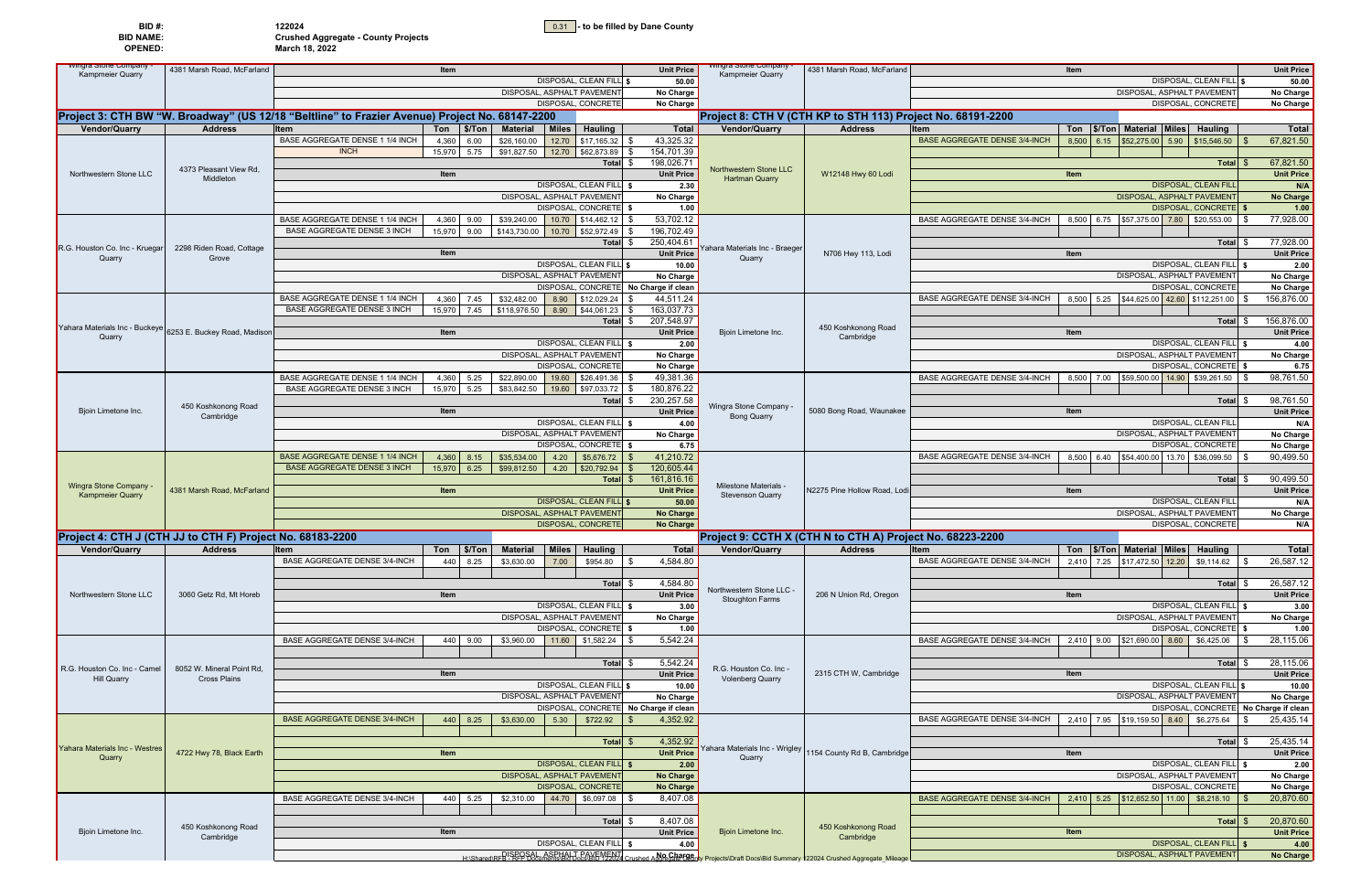|  | 0.31 - to be filled by Dane County |
|--|------------------------------------|
|  |                                    |

| BID#:          | 122024                                     |
|----------------|--------------------------------------------|
| BID NAME:      | <b>Crushed Aggregate - County Projects</b> |
| <b>OPENED:</b> | March 18, 2022                             |

| <b>vvingra Stone Company</b>                              | 4381 Marsh Road, McFarland       |                                                                                                | Item                              |                                 |                                | <b>Unit Price</b>                     | vingra Stone Company                               | 4381 Marsh Road, McFarland                                                                                                         | Item                                 |                                            |                                       | <b>Unit Price</b>                                                                                                                                                 |  |
|-----------------------------------------------------------|----------------------------------|------------------------------------------------------------------------------------------------|-----------------------------------|---------------------------------|--------------------------------|---------------------------------------|----------------------------------------------------|------------------------------------------------------------------------------------------------------------------------------------|--------------------------------------|--------------------------------------------|---------------------------------------|-------------------------------------------------------------------------------------------------------------------------------------------------------------------|--|
| <b>Kampmeier Quarry</b>                                   |                                  |                                                                                                |                                   |                                 | DISPOSAL, CLEAN FILL \$        | 50.00                                 | <b>Kampmeier Quarry</b>                            |                                                                                                                                    |                                      |                                            | DISPOSAL, CLEAN FILL \$               | 50.00                                                                                                                                                             |  |
|                                                           |                                  |                                                                                                |                                   | DISPOSAL, ASPHALT PAVEMENT      |                                | No Charge                             |                                                    |                                                                                                                                    |                                      | DISPOSAL, ASPHALT PAVEMENT                 |                                       | No Charge                                                                                                                                                         |  |
|                                                           |                                  |                                                                                                |                                   |                                 | DISPOSAL, CONCRETE             | No Charge                             |                                                    |                                                                                                                                    |                                      | DISPOSAL, CONCRETE                         |                                       | No Charge                                                                                                                                                         |  |
|                                                           |                                  | Project 3: CTH BW "W. Broadway" (US 12/18 "Beltline" to Frazier Avenue) Project No. 68147-2200 |                                   |                                 |                                |                                       |                                                    | Project 8: CTH V (CTH KP to STH 113) Project No. 68191-2200                                                                        |                                      |                                            |                                       |                                                                                                                                                                   |  |
| <b>Vendor/Quarry</b>                                      | <b>Address</b>                   | <b>Item</b>                                                                                    | $T$ on $\frac{1}{2}$ \$/Ton       | <b>Miles</b><br><b>Material</b> | <b>Hauling</b>                 | <b>Total</b>                          | Vendor/Quarry                                      | <b>Address</b>                                                                                                                     | <b>Item</b>                          | Ton   \$/Ton   Material   Miles   Hauling  |                                       | Total                                                                                                                                                             |  |
|                                                           |                                  | BASE AGGREGATE DENSE 1 1/4 INCH                                                                | 6.00<br>4,360                     | \$26,160.00<br>12.70            | $$17,165.32$ \\$               | 43,325.32                             |                                                    |                                                                                                                                    | <b>BASE AGGREGATE DENSE 3/4-INCH</b> | 8,500 6.15 \$52,275.00 5.90 \$15,546.50    |                                       | 67,821.50                                                                                                                                                         |  |
|                                                           |                                  | <b>INCH</b>                                                                                    | 15,970<br>5.75                    | \$91,827.50                     | 12.70 \$62,873.89 \$           | 154,701.39                            |                                                    |                                                                                                                                    |                                      |                                            |                                       |                                                                                                                                                                   |  |
|                                                           |                                  |                                                                                                |                                   |                                 | Total \$                       | 198,026.71                            |                                                    |                                                                                                                                    |                                      |                                            | Total \$                              | 67,821.50                                                                                                                                                         |  |
| Northwestern Stone LLC                                    | 4373 Pleasant View Rd,           |                                                                                                | Item                              |                                 |                                | <b>Unit Price</b>                     | Northwestern Stone LLC                             | W12148 Hwy 60 Lodi                                                                                                                 | Item                                 |                                            |                                       | <b>Unit Price</b>                                                                                                                                                 |  |
|                                                           | Middleton                        |                                                                                                |                                   |                                 | DISPOSAL, CLEAN FILL \$        | 2.30                                  | <b>Hartman Quarry</b>                              |                                                                                                                                    |                                      | <b>DISPOSAL, CLEAN FILL</b>                |                                       | N/A                                                                                                                                                               |  |
|                                                           |                                  |                                                                                                |                                   | DISPOSAL, ASPHALT PAVEMENT      |                                | No Charge                             |                                                    |                                                                                                                                    |                                      | DISPOSAL, ASPHALT PAVEMENT                 |                                       | No Charge                                                                                                                                                         |  |
|                                                           |                                  |                                                                                                |                                   |                                 | DISPOSAL, CONCRETE \$          | 1.00                                  |                                                    |                                                                                                                                    |                                      |                                            | DISPOSAL, CONCRETE   \$               | 1.00                                                                                                                                                              |  |
|                                                           |                                  | BASE AGGREGATE DENSE 1 1/4 INCH                                                                | 4,360<br>9.00                     | \$39,240.00                     | 10.70 \$14.462.12 \$           | 53,702.12                             |                                                    |                                                                                                                                    | BASE AGGREGATE DENSE 3/4-INCH        | 8,500 6.75 \$57,375.00 7.80 \$20,553.00    |                                       | 77,928.00                                                                                                                                                         |  |
|                                                           |                                  | <b>BASE AGGREGATE DENSE 3 INCH</b>                                                             | 15,970<br>9.00                    | \$143,730.00                    | 10.70 \$52,972.49              | 196,702.49                            |                                                    |                                                                                                                                    |                                      |                                            |                                       |                                                                                                                                                                   |  |
|                                                           |                                  |                                                                                                |                                   |                                 | Total \$                       | 250,404.61                            |                                                    |                                                                                                                                    |                                      |                                            | Total \$                              | 77,928.00                                                                                                                                                         |  |
| R.G. Houston Co. Inc - Kruega                             | 2298 Riden Road, Cottage         |                                                                                                | Item                              |                                 |                                | <b>Unit Price</b>                     | 'ahara Materials Inc - Braeger                     | N706 Hwy 113, Lodi                                                                                                                 | Item                                 |                                            |                                       | <b>Unit Price</b>                                                                                                                                                 |  |
| Quarry                                                    | Grove                            |                                                                                                |                                   |                                 | DISPOSAL, CLEAN FILL \$        | 10.00                                 | Quarry                                             |                                                                                                                                    |                                      |                                            | DISPOSAL, CLEAN FILL                  | 2.00                                                                                                                                                              |  |
|                                                           |                                  |                                                                                                |                                   | DISPOSAL, ASPHALT PAVEMENT      |                                | No Charge                             |                                                    |                                                                                                                                    |                                      | DISPOSAL, ASPHALT PAVEMENT                 |                                       | No Charge                                                                                                                                                         |  |
|                                                           |                                  |                                                                                                |                                   |                                 |                                | DISPOSAL, CONCRETE No Charge if clean |                                                    |                                                                                                                                    |                                      | <b>DISPOSAL, CONCRETE</b>                  |                                       | No Charge                                                                                                                                                         |  |
|                                                           |                                  | BASE AGGREGATE DENSE 1 1/4 INCH                                                                | 4,360<br>7.45                     | \$32,482.00<br>8.90             | \$12,029.24                    | 44,511.24                             |                                                    |                                                                                                                                    | <b>BASE AGGREGATE DENSE 3/4-INCH</b> | 8,500 5.25 \$44,625.00 42.60 \$112,251.00  |                                       | 156,876.00                                                                                                                                                        |  |
|                                                           |                                  | <b>BASE AGGREGATE DENSE 3 INCH</b>                                                             | 15,970<br>7.45                    | \$118,976.50<br>8.90            | $$44,061.23$ \\$               | 163,037.73                            |                                                    |                                                                                                                                    |                                      |                                            |                                       |                                                                                                                                                                   |  |
|                                                           |                                  |                                                                                                |                                   |                                 | Total \$                       | 207,548.97                            |                                                    |                                                                                                                                    |                                      |                                            | Total \$                              | 156,876.00                                                                                                                                                        |  |
| Yahara Materials Inc - Buckeye<br>Quarry                  | 6253 E. Buckey Road, Madison     |                                                                                                | Item                              |                                 |                                | <b>Unit Price</b>                     | Bjoin Limetone Inc.                                | 450 Koshkonong Road<br>Cambridge                                                                                                   | Item                                 |                                            |                                       | <b>Unit Price</b>                                                                                                                                                 |  |
|                                                           |                                  |                                                                                                |                                   |                                 | DISPOSAL, CLEAN FILL \$        | 2.00                                  |                                                    |                                                                                                                                    |                                      |                                            | DISPOSAL, CLEAN FILL \$               | 4.00                                                                                                                                                              |  |
|                                                           |                                  |                                                                                                |                                   | DISPOSAL, ASPHALT PAVEMENT      |                                | No Charge                             |                                                    |                                                                                                                                    |                                      | DISPOSAL, ASPHALT PAVEMENT                 |                                       | No Charge                                                                                                                                                         |  |
|                                                           |                                  |                                                                                                |                                   |                                 | <b>DISPOSAL, CONCRETE</b>      | No Charge                             |                                                    |                                                                                                                                    |                                      |                                            | DISPOSAL, CONCRETE \$                 | 6.75                                                                                                                                                              |  |
|                                                           |                                  | BASE AGGREGATE DENSE 1 1/4 INCH                                                                | 4,360<br>5.25                     | \$22,890.00<br>19.60            | $$26,491.36$ \\$               | 49,381.36                             |                                                    |                                                                                                                                    | BASE AGGREGATE DENSE 3/4-INCH        | 8,500 7.00 \$59,500.00 14.90 \$39,261.50   |                                       | 98,761.50                                                                                                                                                         |  |
|                                                           |                                  | <b>BASE AGGREGATE DENSE 3 INCH</b>                                                             | 5.25<br>15,970                    | \$83,842.50<br>19.60            | $$97,033.72$ \\$               | 180,876.22                            |                                                    |                                                                                                                                    |                                      |                                            |                                       |                                                                                                                                                                   |  |
|                                                           |                                  |                                                                                                |                                   |                                 | Total \$                       | 230,257.58                            |                                                    |                                                                                                                                    |                                      |                                            | <b>Total</b>                          | 98,761.50                                                                                                                                                         |  |
| Bjoin Limetone Inc.                                       | 450 Koshkonong Road<br>Cambridge |                                                                                                | Item                              |                                 |                                | <b>Unit Price</b>                     | Wingra Stone Company -<br><b>Bong Quarry</b>       | 5080 Bong Road, Waunakee                                                                                                           | Item                                 |                                            |                                       | <b>Unit Price</b>                                                                                                                                                 |  |
|                                                           |                                  |                                                                                                |                                   |                                 | <b>DISPOSAL, CLEAN FILL</b> \$ | 4.00                                  |                                                    |                                                                                                                                    | DISPOSAL, CLEAN FILL                 |                                            |                                       |                                                                                                                                                                   |  |
|                                                           |                                  |                                                                                                |                                   | DISPOSAL, ASPHALT PAVEMENT      |                                | No Charge                             |                                                    |                                                                                                                                    |                                      | DISPOSAL, ASPHALT PAVEMENT                 |                                       | No Charge                                                                                                                                                         |  |
|                                                           |                                  |                                                                                                |                                   |                                 | DISPOSAL, CONCRETE \$          | 6.75                                  |                                                    |                                                                                                                                    |                                      | DISPOSAL, CONCRETE                         |                                       | No Charge                                                                                                                                                         |  |
|                                                           |                                  | BASE AGGREGATE DENSE 1 1/4 INCH                                                                | 4,360<br>8.15                     | \$35,534.00<br>4.20             |                                | 41,210.72                             |                                                    |                                                                                                                                    | BASE AGGREGATE DENSE 3/4-INCH        | 8,500 6.40 \$54,400.00 13.70 \$36,099.50   |                                       | 90,499.50                                                                                                                                                         |  |
|                                                           |                                  | <b>BASE AGGREGATE DENSE 3 INCH</b>                                                             | 6.25<br>15,970                    | \$99,812.50<br>4.20             | $$20,792.94$ \\$               | 120,605.44                            |                                                    |                                                                                                                                    |                                      |                                            |                                       |                                                                                                                                                                   |  |
| <b>Wingra Stone Company</b>                               |                                  |                                                                                                |                                   |                                 | Total \$                       | 161,816.16                            | Milestone Materials -                              |                                                                                                                                    |                                      |                                            | Total                                 | 90,499.50                                                                                                                                                         |  |
| <b>Kampmeier Quarry</b>                                   | 4381 Marsh Road, McFarland       |                                                                                                | <b>Item</b>                       |                                 |                                | <b>Unit Price</b>                     | <b>Stevenson Quarry</b>                            | <b>V2275 Pine Hollow Road, Lodi</b>                                                                                                | Item                                 |                                            |                                       | <b>Unit Price</b>                                                                                                                                                 |  |
|                                                           |                                  |                                                                                                |                                   |                                 | <b>DISPOSAL, CLEAN FILL \$</b> | 50.00                                 |                                                    |                                                                                                                                    |                                      | DISPOSAL, CLEAN FILL                       |                                       | N/A                                                                                                                                                               |  |
|                                                           |                                  |                                                                                                | <b>DISPOSAL, ASPHALT PAVEMENT</b> |                                 |                                |                                       |                                                    |                                                                                                                                    |                                      |                                            |                                       |                                                                                                                                                                   |  |
|                                                           |                                  |                                                                                                |                                   |                                 |                                | No Charge                             |                                                    |                                                                                                                                    |                                      | DISPOSAL, ASPHALT PAVEMENT                 |                                       |                                                                                                                                                                   |  |
|                                                           |                                  |                                                                                                |                                   |                                 | DISPOSAL, CONCRETE             | No Charge                             |                                                    |                                                                                                                                    |                                      | DISPOSAL, CONCRETE                         |                                       |                                                                                                                                                                   |  |
| Project 4: CTH J (CTH JJ to CTH F) Project No. 68183-2200 |                                  |                                                                                                |                                   |                                 |                                |                                       |                                                    | Project 9: CCTH X (CTH N to CTH A) Project No. 68223-2200                                                                          |                                      |                                            |                                       |                                                                                                                                                                   |  |
| <b>Vendor/Quarry</b>                                      | <b>Address</b>                   | <b>Item</b>                                                                                    | $\sqrt{\frac{2}{10}}$<br>Ton      | <b>Material</b><br><b>Miles</b> | <b>Hauling</b>                 | Total                                 | <b>Vendor/Quarry</b>                               | <b>Address</b>                                                                                                                     | <b>Item</b>                          | Ton   \$/Ton   Material   Miles   Hauling  |                                       | <b>Total</b>                                                                                                                                                      |  |
|                                                           |                                  | <b>BASE AGGREGATE DENSE 3/4-INCH</b>                                                           | 8.25<br>440                       | 7.00<br>\$3,630.00              | $$954.80$ \\$                  | 4,584.80                              |                                                    |                                                                                                                                    | BASE AGGREGATE DENSE 3/4-INCH        | 2.410 7.25 \$17.472.50 12.20 \$9.114.62 \$ |                                       |                                                                                                                                                                   |  |
|                                                           |                                  |                                                                                                |                                   |                                 |                                |                                       |                                                    |                                                                                                                                    |                                      |                                            |                                       |                                                                                                                                                                   |  |
|                                                           |                                  |                                                                                                |                                   |                                 | Total \$                       | 4,584.80                              |                                                    |                                                                                                                                    |                                      |                                            | Total \$                              |                                                                                                                                                                   |  |
| Northwestern Stone LLC                                    | 3060 Getz Rd, Mt Horeb           |                                                                                                | Item                              |                                 |                                | <b>Unit Price</b>                     | Northwestern Stone LLC -<br><b>Stoughton Farms</b> | 206 N Union Rd, Oregon                                                                                                             | Item                                 |                                            |                                       |                                                                                                                                                                   |  |
|                                                           |                                  |                                                                                                |                                   |                                 | DISPOSAL, CLEAN FILL \$        | 3.00                                  |                                                    |                                                                                                                                    |                                      |                                            | DISPOSAL, CLEAN FILL \$               |                                                                                                                                                                   |  |
|                                                           |                                  |                                                                                                |                                   | DISPOSAL, ASPHALT PAVEMENT      |                                | No Charge                             |                                                    |                                                                                                                                    |                                      | DISPOSAL, ASPHALT PAVEMENT                 |                                       |                                                                                                                                                                   |  |
|                                                           |                                  |                                                                                                |                                   |                                 | DISPOSAL, CONCRETE \$          | 1.00                                  |                                                    |                                                                                                                                    |                                      |                                            | DISPOSAL, CONCRETE \$                 |                                                                                                                                                                   |  |
|                                                           |                                  | BASE AGGREGATE DENSE 3/4-INCH                                                                  | 440 9.00                          | \$3,960.00                      | $11.60$ \$1,582.24 \$          | 5,542.24                              |                                                    |                                                                                                                                    | BASE AGGREGATE DENSE 3/4-INCH        | 2,410 9.00 \$21,690.00 8.60                | \$6,425.06                            |                                                                                                                                                                   |  |
|                                                           |                                  |                                                                                                |                                   |                                 |                                |                                       |                                                    |                                                                                                                                    |                                      |                                            |                                       |                                                                                                                                                                   |  |
| R.G. Houston Co. Inc - Camel                              | 8052 W. Mineral Point Rd.        |                                                                                                |                                   |                                 | Total \$                       | 5,542.24                              |                                                    |                                                                                                                                    |                                      |                                            | Total \$                              | 28,115.06                                                                                                                                                         |  |
| <b>Hill Quarry</b>                                        | <b>Cross Plains</b>              |                                                                                                | Item                              |                                 |                                | <b>Unit Price</b>                     | R.G. Houston Co. Inc -<br><b>Volenberg Quarry</b>  | 2315 CTH W, Cambridge                                                                                                              | Item                                 |                                            |                                       |                                                                                                                                                                   |  |
|                                                           |                                  |                                                                                                |                                   |                                 | DISPOSAL, CLEAN FILL \$        | 10.00                                 |                                                    |                                                                                                                                    |                                      |                                            | DISPOSAL, CLEAN FILL S                |                                                                                                                                                                   |  |
|                                                           |                                  |                                                                                                |                                   | DISPOSAL, ASPHALT PAVEMENT      |                                | No Charge                             |                                                    |                                                                                                                                    |                                      | DISPOSAL, ASPHALT PAVEMENT                 |                                       |                                                                                                                                                                   |  |
|                                                           |                                  |                                                                                                |                                   |                                 |                                | DISPOSAL, CONCRETE No Charge if clean |                                                    |                                                                                                                                    |                                      |                                            | DISPOSAL, CONCRETE No Charge if clean |                                                                                                                                                                   |  |
|                                                           |                                  | <b>BASE AGGREGATE DENSE 3/4-INCH</b>                                                           | 440 8.25                          | \$3,630.00<br>5.30              | \$722.92                       | 4,352.92                              |                                                    |                                                                                                                                    | <b>BASE AGGREGATE DENSE 3/4-INCH</b> | 2,410 7.95 \$19,159.50 8.40                | \$6,275.64                            |                                                                                                                                                                   |  |
|                                                           |                                  |                                                                                                |                                   |                                 |                                |                                       |                                                    |                                                                                                                                    |                                      |                                            |                                       | No Charge<br>N/A<br>26,587.12<br>26,587.12<br><b>Unit Price</b><br>3.00<br>No Charge<br>1.00<br>28,115.06<br><b>Unit Price</b><br>10.00<br>No Charge<br>25,435.14 |  |
| Yahara Materials Inc - Westres                            |                                  |                                                                                                |                                   |                                 | Total \$                       | 4,352.92                              |                                                    |                                                                                                                                    |                                      |                                            | Total \$                              | 25,435.14                                                                                                                                                         |  |
| Quarry                                                    | 4722 Hwy 78, Black Earth         |                                                                                                | <b>Item</b>                       |                                 |                                | <b>Unit Price</b>                     | Quarry                                             | Yahara Materials Inc - Wrigley 1154 County Rd B, Cambridge                                                                         | Item                                 |                                            |                                       | <b>Unit Price</b>                                                                                                                                                 |  |
|                                                           |                                  |                                                                                                |                                   |                                 | <b>DISPOSAL, CLEAN FILL</b> \$ | 2.00                                  |                                                    |                                                                                                                                    |                                      |                                            | DISPOSAL, CLEAN FILL \$               |                                                                                                                                                                   |  |
|                                                           |                                  |                                                                                                |                                   | DISPOSAL, ASPHALT PAVEMENT      |                                | No Charge                             |                                                    |                                                                                                                                    |                                      | DISPOSAL, ASPHALT PAVEMENT                 |                                       |                                                                                                                                                                   |  |
|                                                           |                                  |                                                                                                |                                   |                                 | DISPOSAL, CONCRETE             | No Charge                             |                                                    |                                                                                                                                    |                                      | DISPOSAL, CONCRETE                         |                                       |                                                                                                                                                                   |  |
|                                                           |                                  | <b>BASE AGGREGATE DENSE 3/4-INCH</b>                                                           | 5.25<br>440                       | \$2,310.00<br>44.70             | $$6,097.08$ \\$                | 8,407.08                              |                                                    |                                                                                                                                    | <b>BASE AGGREGATE DENSE 3/4-INCH</b> | 2,410 5.25 \$12,652.50 11.00 \$8,218.10    |                                       | 20,870.60                                                                                                                                                         |  |
|                                                           |                                  |                                                                                                |                                   |                                 | Total \$                       | 8,407.08                              |                                                    |                                                                                                                                    |                                      |                                            | Total \$                              |                                                                                                                                                                   |  |
| Bjoin Limetone Inc.                                       | 450 Koshkonong Road              |                                                                                                | Item                              |                                 |                                | <b>Unit Price</b>                     | Bioin Limetone Inc.                                | 450 Koshkonong Road                                                                                                                | Item                                 |                                            |                                       | 2.00<br>No Charge<br>No Charge<br>20,870.60<br><b>Unit Price</b>                                                                                                  |  |
|                                                           | Cambridge                        |                                                                                                |                                   |                                 | DISPOSAL, CLEAN FILL \$        | 4.00                                  |                                                    | Cambridge                                                                                                                          |                                      |                                            | DISPOSAL, CLEAN FILL \$               | 4.00                                                                                                                                                              |  |
|                                                           |                                  |                                                                                                |                                   |                                 |                                |                                       |                                                    | H Shared RFP - REP DOM MEDICINE AT PAVEMENT Crushed AMP Charge of Projects Draft Docs Bid Summary 122024 Crushed Aggregate_Mileage |                                      | DISPOSAL, ASPHALT PAVEMENT                 |                                       | <b>No Charge</b>                                                                                                                                                  |  |